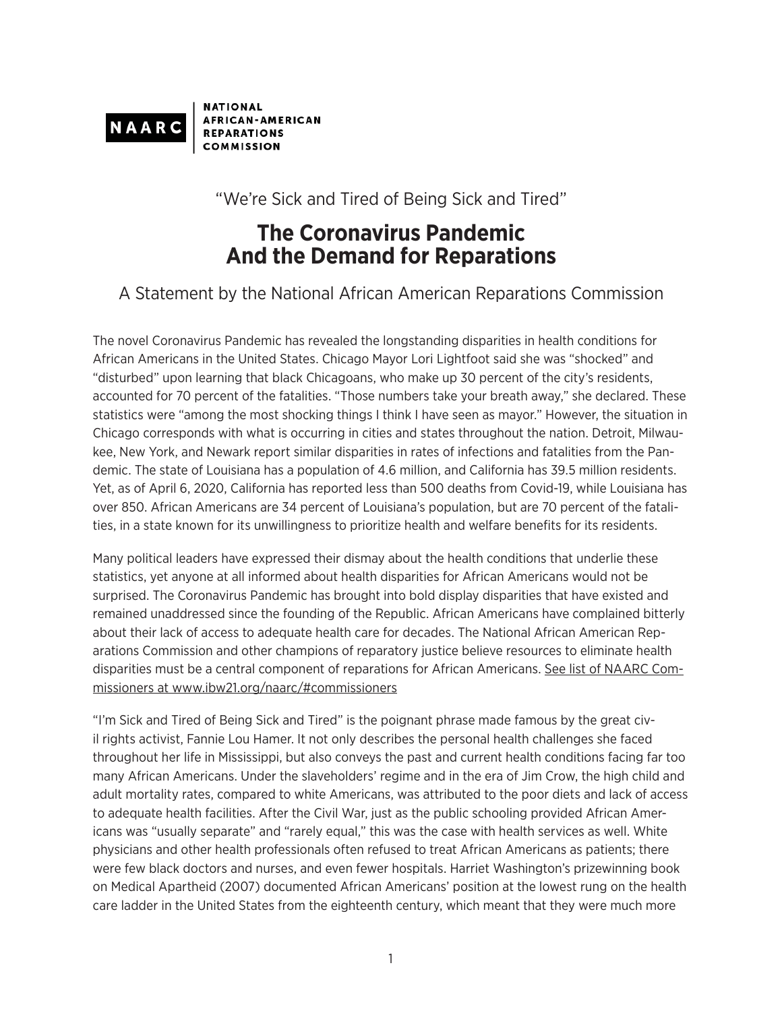

**NATIONAL AFRICAN-AMERICAN REPARATIONS COMMISSION** 

"We're Sick and Tired of Being Sick and Tired"

## **The Coronavirus Pandemic And the Demand for Reparations**

## A Statement by the National African American Reparations Commission

The novel Coronavirus Pandemic has revealed the longstanding disparities in health conditions for African Americans in the United States. Chicago Mayor Lori Lightfoot said she was "shocked" and "disturbed" upon learning that black Chicagoans, who make up 30 percent of the city's residents, accounted for 70 percent of the fatalities. "Those numbers take your breath away," she declared. These statistics were "among the most shocking things I think I have seen as mayor." However, the situation in Chicago corresponds with what is occurring in cities and states throughout the nation. Detroit, Milwaukee, New York, and Newark report similar disparities in rates of infections and fatalities from the Pandemic. The state of Louisiana has a population of 4.6 million, and California has 39.5 million residents. Yet, as of April 6, 2020, California has reported less than 500 deaths from Covid-19, while Louisiana has over 850. African Americans are 34 percent of Louisiana's population, but are 70 percent of the fatalities, in a state known for its unwillingness to prioritize health and welfare benefits for its residents.

Many political leaders have expressed their dismay about the health conditions that underlie these statistics, yet anyone at all informed about health disparities for African Americans would not be surprised. The Coronavirus Pandemic has brought into bold display disparities that have existed and remained unaddressed since the founding of the Republic. African Americans have complained bitterly about their lack of access to adequate health care for decades. The National African American Reparations Commission and other champions of reparatory justice believe resources to eliminate health disparities must be a central component of reparations for African Americans. See list of NAARC Commissioners at www.ibw21.org/naarc/#commissioners

"I'm Sick and Tired of Being Sick and Tired" is the poignant phrase made famous by the great civil rights activist, Fannie Lou Hamer. It not only describes the personal health challenges she faced throughout her life in Mississippi, but also conveys the past and current health conditions facing far too many African Americans. Under the slaveholders' regime and in the era of Jim Crow, the high child and adult mortality rates, compared to white Americans, was attributed to the poor diets and lack of access to adequate health facilities. After the Civil War, just as the public schooling provided African Americans was "usually separate" and "rarely equal," this was the case with health services as well. White physicians and other health professionals often refused to treat African Americans as patients; there were few black doctors and nurses, and even fewer hospitals. Harriet Washington's prizewinning book on Medical Apartheid (2007) documented African Americans' position at the lowest rung on the health care ladder in the United States from the eighteenth century, which meant that they were much more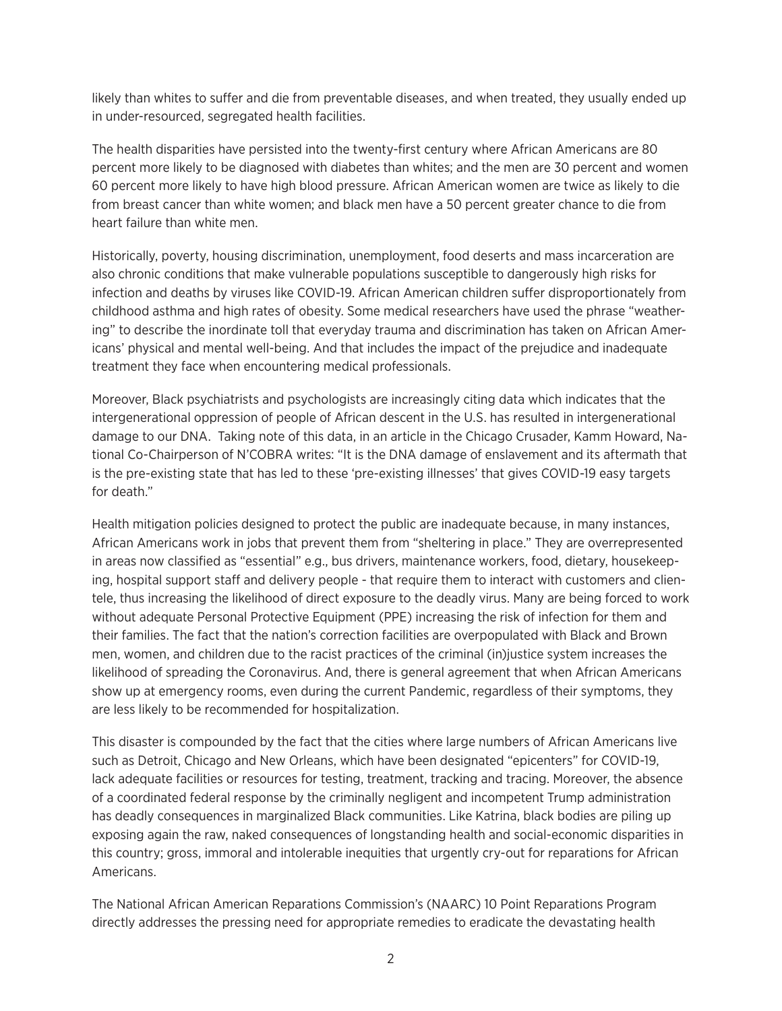likely than whites to suffer and die from preventable diseases, and when treated, they usually ended up in under-resourced, segregated health facilities.

The health disparities have persisted into the twenty-first century where African Americans are 80 percent more likely to be diagnosed with diabetes than whites; and the men are 30 percent and women 60 percent more likely to have high blood pressure. African American women are twice as likely to die from breast cancer than white women; and black men have a 50 percent greater chance to die from heart failure than white men.

Historically, poverty, housing discrimination, unemployment, food deserts and mass incarceration are also chronic conditions that make vulnerable populations susceptible to dangerously high risks for infection and deaths by viruses like COVID-19. African American children suffer disproportionately from childhood asthma and high rates of obesity. Some medical researchers have used the phrase "weathering" to describe the inordinate toll that everyday trauma and discrimination has taken on African Americans' physical and mental well-being. And that includes the impact of the prejudice and inadequate treatment they face when encountering medical professionals.

Moreover, Black psychiatrists and psychologists are increasingly citing data which indicates that the intergenerational oppression of people of African descent in the U.S. has resulted in intergenerational damage to our DNA. Taking note of this data, in an article in the Chicago Crusader, Kamm Howard, National Co-Chairperson of N'COBRA writes: "It is the DNA damage of enslavement and its aftermath that is the pre-existing state that has led to these 'pre-existing illnesses' that gives COVID-19 easy targets for death."

Health mitigation policies designed to protect the public are inadequate because, in many instances, African Americans work in jobs that prevent them from "sheltering in place." They are overrepresented in areas now classified as "essential" e.g., bus drivers, maintenance workers, food, dietary, housekeeping, hospital support staff and delivery people - that require them to interact with customers and clientele, thus increasing the likelihood of direct exposure to the deadly virus. Many are being forced to work without adequate Personal Protective Equipment (PPE) increasing the risk of infection for them and their families. The fact that the nation's correction facilities are overpopulated with Black and Brown men, women, and children due to the racist practices of the criminal (in)justice system increases the likelihood of spreading the Coronavirus. And, there is general agreement that when African Americans show up at emergency rooms, even during the current Pandemic, regardless of their symptoms, they are less likely to be recommended for hospitalization.

This disaster is compounded by the fact that the cities where large numbers of African Americans live such as Detroit, Chicago and New Orleans, which have been designated "epicenters" for COVID-19, lack adequate facilities or resources for testing, treatment, tracking and tracing. Moreover, the absence of a coordinated federal response by the criminally negligent and incompetent Trump administration has deadly consequences in marginalized Black communities. Like Katrina, black bodies are piling up exposing again the raw, naked consequences of longstanding health and social-economic disparities in this country; gross, immoral and intolerable inequities that urgently cry-out for reparations for African Americans.

The National African American Reparations Commission's (NAARC) 10 Point Reparations Program directly addresses the pressing need for appropriate remedies to eradicate the devastating health